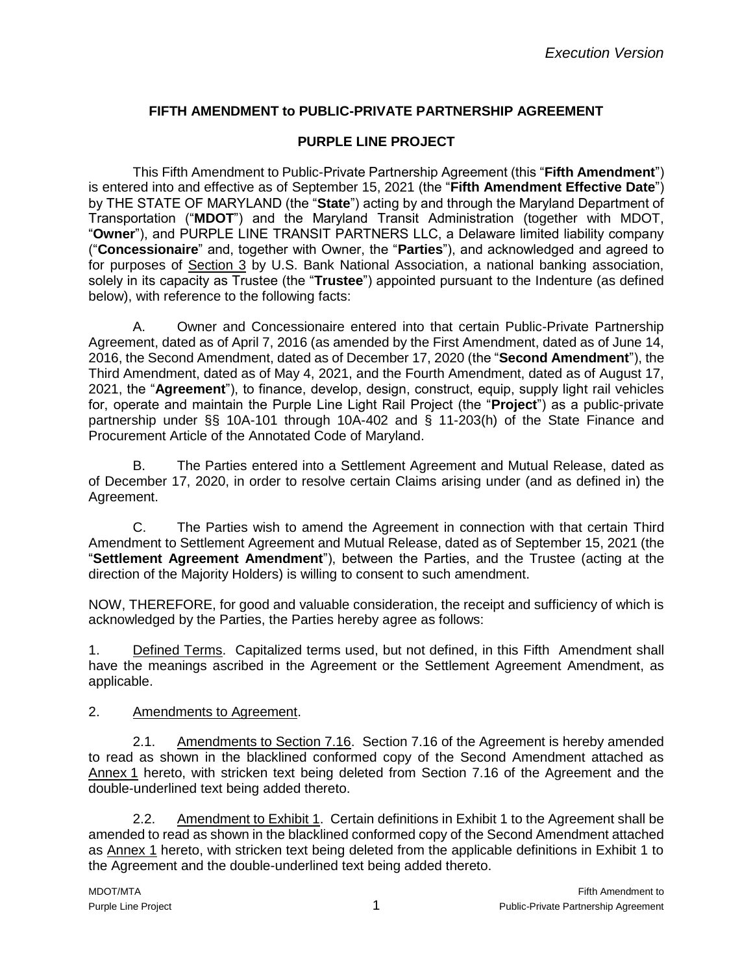# **FIFTH AMENDMENT to PUBLIC-PRIVATE PARTNERSHIP AGREEMENT**

#### **PURPLE LINE PROJECT**

This Fifth Amendment to Public-Private Partnership Agreement (this "**Fifth Amendment**") is entered into and effective as of September 15, 2021 (the "**Fifth Amendment Effective Date**") by THE STATE OF MARYLAND (the "**State**") acting by and through the Maryland Department of Transportation ("**MDOT**") and the Maryland Transit Administration (together with MDOT, "**Owner**"), and PURPLE LINE TRANSIT PARTNERS LLC, a Delaware limited liability company ("**Concessionaire**" and, together with Owner, the "**Parties**"), and acknowledged and agreed to for purposes of Section 3 by U.S. Bank National Association, a national banking association, solely in its capacity as Trustee (the "**Trustee**") appointed pursuant to the Indenture (as defined below), with reference to the following facts:

A. Owner and Concessionaire entered into that certain Public-Private Partnership Agreement, dated as of April 7, 2016 (as amended by the First Amendment, dated as of June 14, 2016, the Second Amendment, dated as of December 17, 2020 (the "**Second Amendment**"), the Third Amendment, dated as of May 4, 2021, and the Fourth Amendment, dated as of August 17, 2021, the "**Agreement**"), to finance, develop, design, construct, equip, supply light rail vehicles for, operate and maintain the Purple Line Light Rail Project (the "**Project**") as a public-private partnership under §§ 10A-101 through 10A-402 and § 11-203(h) of the State Finance and Procurement Article of the Annotated Code of Maryland.

B. The Parties entered into a Settlement Agreement and Mutual Release, dated as of December 17, 2020, in order to resolve certain Claims arising under (and as defined in) the Agreement.

C. The Parties wish to amend the Agreement in connection with that certain Third Amendment to Settlement Agreement and Mutual Release, dated as of September 15, 2021 (the "**Settlement Agreement Amendment**"), between the Parties, and the Trustee (acting at the direction of the Majority Holders) is willing to consent to such amendment.

NOW, THEREFORE, for good and valuable consideration, the receipt and sufficiency of which is acknowledged by the Parties, the Parties hereby agree as follows:

1. Defined Terms. Capitalized terms used, but not defined, in this Fifth Amendment shall have the meanings ascribed in the Agreement or the Settlement Agreement Amendment, as applicable.

#### 2. Amendments to Agreement.

2.1. Amendments to Section 7.16. Section 7.16 of the Agreement is hereby amended to read as shown in the blacklined conformed copy of the Second Amendment attached as Annex 1 hereto, with stricken text being deleted from Section 7.16 of the Agreement and the double-underlined text being added thereto.

2.2. Amendment to Exhibit 1. Certain definitions in Exhibit 1 to the Agreement shall be amended to read as shown in the blacklined conformed copy of the Second Amendment attached as Annex 1 hereto, with stricken text being deleted from the applicable definitions in Exhibit 1 to the Agreement and the double-underlined text being added thereto.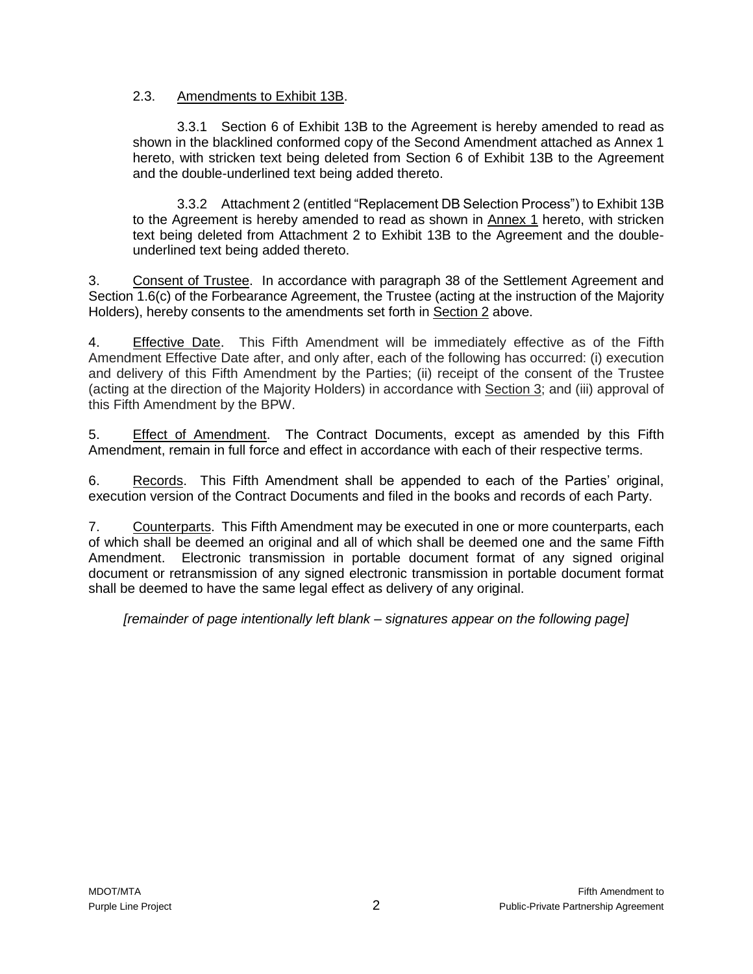#### 2.3. Amendments to Exhibit 13B.

3.3.1 Section 6 of Exhibit 13B to the Agreement is hereby amended to read as shown in the blacklined conformed copy of the Second Amendment attached as Annex 1 hereto, with stricken text being deleted from Section 6 of Exhibit 13B to the Agreement and the double-underlined text being added thereto.

3.3.2 Attachment 2 (entitled "Replacement DB Selection Process") to Exhibit 13B to the Agreement is hereby amended to read as shown in Annex 1 hereto, with stricken text being deleted from Attachment 2 to Exhibit 13B to the Agreement and the doubleunderlined text being added thereto.

3. Consent of Trustee. In accordance with paragraph 38 of the Settlement Agreement and Section 1.6(c) of the Forbearance Agreement, the Trustee (acting at the instruction of the Majority Holders), hereby consents to the amendments set forth in Section 2 above.

4. Effective Date. This Fifth Amendment will be immediately effective as of the Fifth Amendment Effective Date after, and only after, each of the following has occurred: (i) execution and delivery of this Fifth Amendment by the Parties; (ii) receipt of the consent of the Trustee (acting at the direction of the Majority Holders) in accordance with Section 3; and (iii) approval of this Fifth Amendment by the BPW.

5. Effect of Amendment. The Contract Documents, except as amended by this Fifth Amendment, remain in full force and effect in accordance with each of their respective terms.

6. Records. This Fifth Amendment shall be appended to each of the Parties' original, execution version of the Contract Documents and filed in the books and records of each Party.

7. Counterparts. This Fifth Amendment may be executed in one or more counterparts, each of which shall be deemed an original and all of which shall be deemed one and the same Fifth Amendment. Electronic transmission in portable document format of any signed original document or retransmission of any signed electronic transmission in portable document format shall be deemed to have the same legal effect as delivery of any original.

*[remainder of page intentionally left blank – signatures appear on the following page]*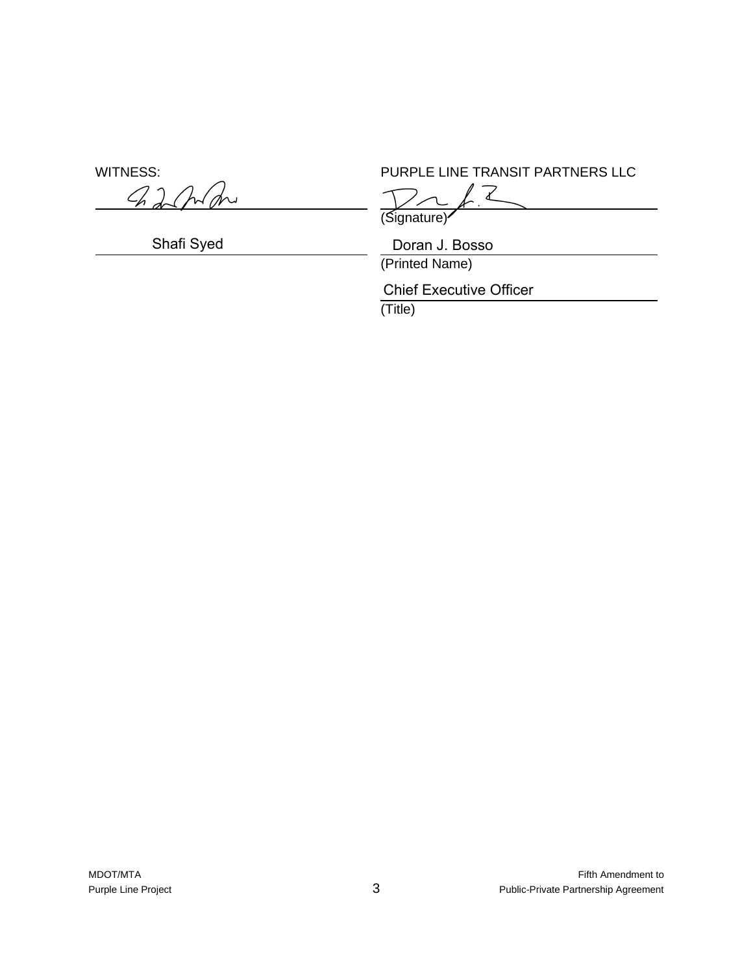harho

WITNESS: WITNESS: PURPLE LINE TRANSIT PARTNERS LLC

Gignature)

Shafi Syed Doran J. Bosso

(Printed Name)

Chief Executive Officer

(Title)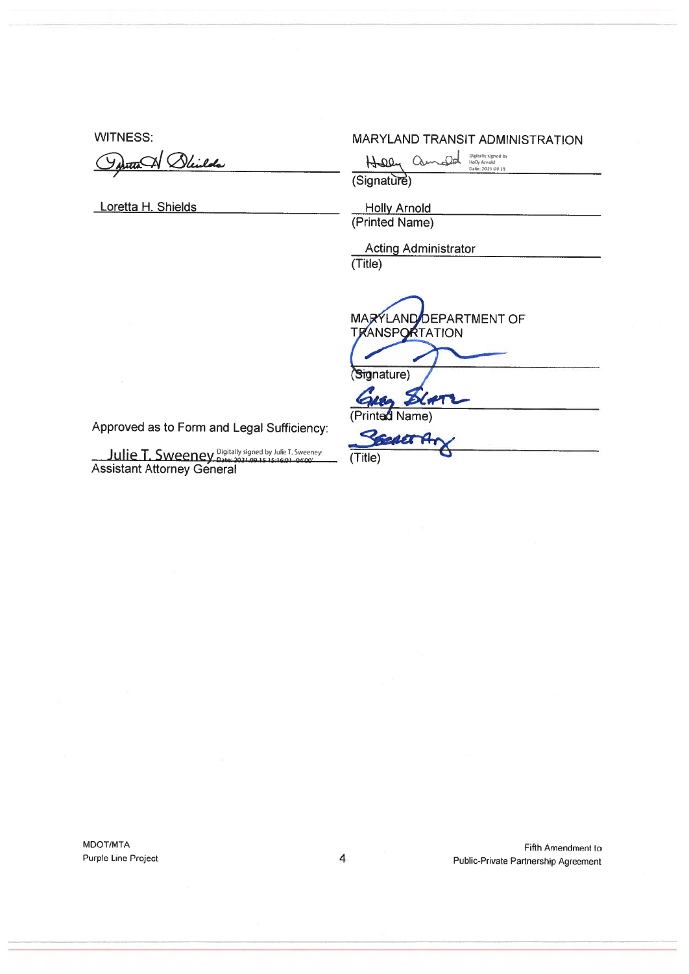**WITNESS:** 

<del>ut</del>a Weilds

Loretta H. Shields

#### **MARYLAND TRANSIT ADMINISTRATION**

 $Quanded$   $\frac{O(\text{gltably signed by } \text{by } \text{Armold})}{\text{Data: } 20210945}$  $HDP$ 

(Signature)

**Holly Arnold** (Printed Name)

**Acting Administrator** 

 $(Title)$ 

(Title)

MARYLAND DEPARTMENT OF **TRANSPORTATION** 

(Signature)

 $26.07$ (Printed Name)

RECRET A

Ulie T. Sweeney Digitally signed by Julie T. Sweeney<br>Assistant Attorney General

Approved as to Form and Legal Sufficiency:

MDOT/MTA Purple Line Project

Fifth Amendment to Public-Private Partnership Agreement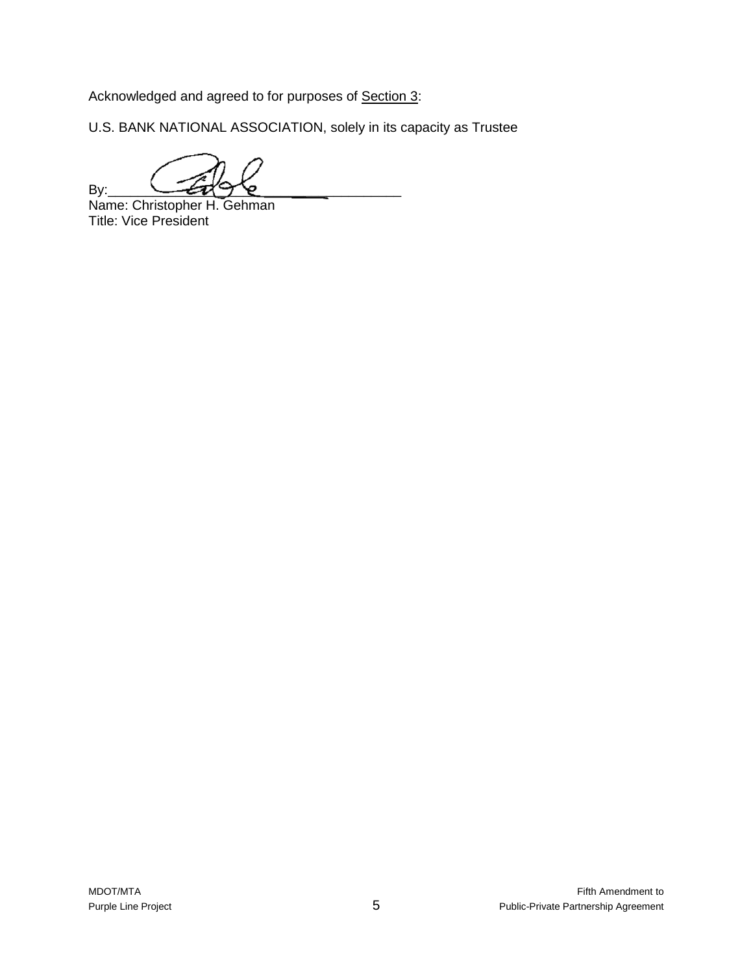Acknowledged and agreed to for purposes of Section 3:

U.S. BANK NATIONAL ASSOCIATION, solely in its capacity as Trustee

By:  $\longrightarrow$ 

Name: Christopher H. Gehman Title: Vice President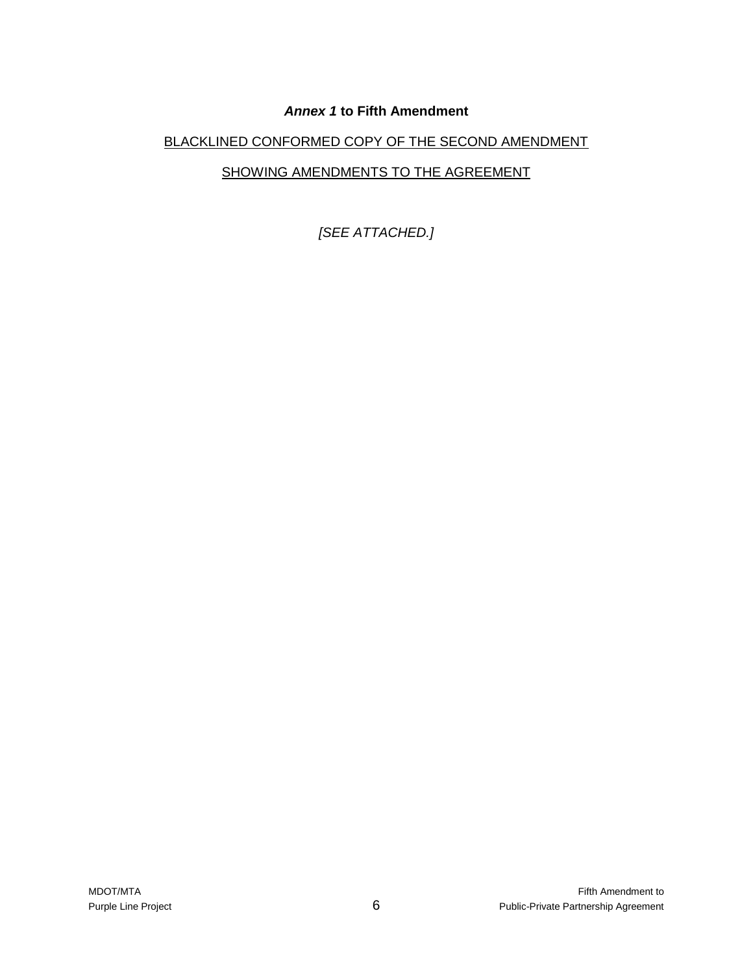# *Annex 1* **to Fifth Amendment**

# BLACKLINED CONFORMED COPY OF THE SECOND AMENDMENT

# SHOWING AMENDMENTS TO THE AGREEMENT

*[SEE ATTACHED.]*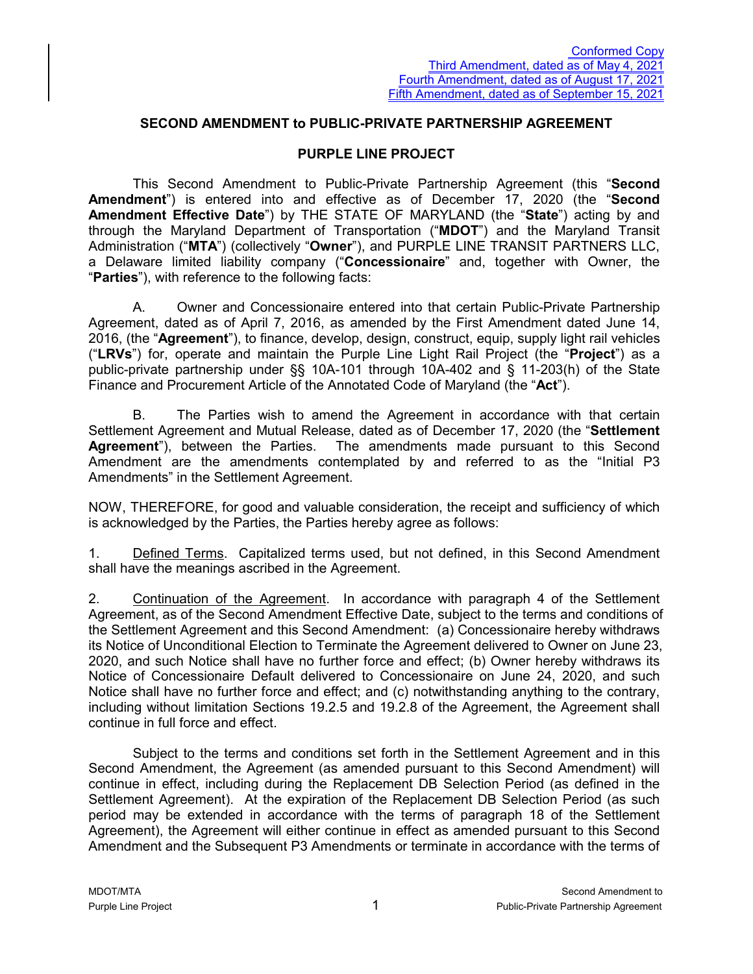#### **SECOND AMENDMENT to PUBLIC-PRIVATE PARTNERSHIP AGREEMENT**

#### **PURPLE LINE PROJECT**

This Second Amendment to Public-Private Partnership Agreement (this "**Second Amendment**") is entered into and effective as of December 17, 2020 (the "**Second Amendment Effective Date**") by THE STATE OF MARYLAND (the "**State**") acting by and through the Maryland Department of Transportation ("**MDOT**") and the Maryland Transit Administration ("**MTA**") (collectively "**Owner**"), and PURPLE LINE TRANSIT PARTNERS LLC, a Delaware limited liability company ("**Concessionaire**" and, together with Owner, the "**Parties**"), with reference to the following facts:

A. Owner and Concessionaire entered into that certain Public-Private Partnership Agreement, dated as of April 7, 2016, as amended by the First Amendment dated June 14, 2016, (the "**Agreement**"), to finance, develop, design, construct, equip, supply light rail vehicles ("**LRVs**") for, operate and maintain the Purple Line Light Rail Project (the "**Project**") as a public-private partnership under §§ 10A-101 through 10A-402 and § 11-203(h) of the State Finance and Procurement Article of the Annotated Code of Maryland (the "**Act**").

B. The Parties wish to amend the Agreement in accordance with that certain Settlement Agreement and Mutual Release, dated as of December 17, 2020 (the "**Settlement Agreement**"), between the Parties. The amendments made pursuant to this Second Amendment are the amendments contemplated by and referred to as the "Initial P3 Amendments" in the Settlement Agreement.

NOW, THEREFORE, for good and valuable consideration, the receipt and sufficiency of which is acknowledged by the Parties, the Parties hereby agree as follows:

1. Defined Terms. Capitalized terms used, but not defined, in this Second Amendment shall have the meanings ascribed in the Agreement.

2. Continuation of the Agreement. In accordance with paragraph 4 of the Settlement Agreement, as of the Second Amendment Effective Date, subject to the terms and conditions of the Settlement Agreement and this Second Amendment: (a) Concessionaire hereby withdraws its Notice of Unconditional Election to Terminate the Agreement delivered to Owner on June 23, 2020, and such Notice shall have no further force and effect; (b) Owner hereby withdraws its Notice of Concessionaire Default delivered to Concessionaire on June 24, 2020, and such Notice shall have no further force and effect; and (c) notwithstanding anything to the contrary, including without limitation Sections 19.2.5 and 19.2.8 of the Agreement, the Agreement shall continue in full force and effect.

Subject to the terms and conditions set forth in the Settlement Agreement and in this Second Amendment, the Agreement (as amended pursuant to this Second Amendment) will continue in effect, including during the Replacement DB Selection Period (as defined in the Settlement Agreement). At the expiration of the Replacement DB Selection Period (as such period may be extended in accordance with the terms of paragraph 18 of the Settlement Agreement), the Agreement will either continue in effect as amended pursuant to this Second Amendment and the Subsequent P3 Amendments or terminate in accordance with the terms of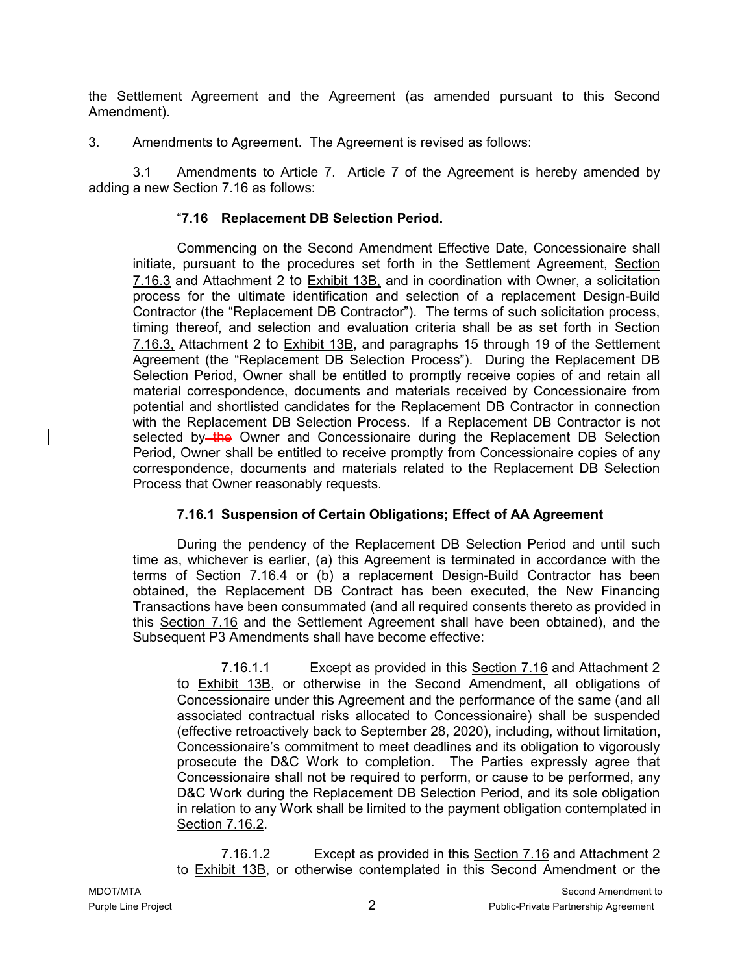the Settlement Agreement and the Agreement (as amended pursuant to this Second Amendment).

3. Amendments to Agreement. The Agreement is revised as follows:

3.1 Amendments to Article 7. Article 7 of the Agreement is hereby amended by adding a new Section 7.16 as follows:

# "**7.16 Replacement DB Selection Period.**

Commencing on the Second Amendment Effective Date, Concessionaire shall initiate, pursuant to the procedures set forth in the Settlement Agreement, Section 7.16.3 and Attachment 2 to Exhibit 13B, and in coordination with Owner, a solicitation process for the ultimate identification and selection of a replacement Design-Build Contractor (the "Replacement DB Contractor"). The terms of such solicitation process, timing thereof, and selection and evaluation criteria shall be as set forth in Section 7.16.3, Attachment 2 to Exhibit 13B, and paragraphs 15 through 19 of the Settlement Agreement (the "Replacement DB Selection Process"). During the Replacement DB Selection Period, Owner shall be entitled to promptly receive copies of and retain all material correspondence, documents and materials received by Concessionaire from potential and shortlisted candidates for the Replacement DB Contractor in connection with the Replacement DB Selection Process. If a Replacement DB Contractor is not selected by the Owner and Concessionaire during the Replacement DB Selection Period, Owner shall be entitled to receive promptly from Concessionaire copies of any correspondence, documents and materials related to the Replacement DB Selection Process that Owner reasonably requests.

## **7.16.1 Suspension of Certain Obligations; Effect of AA Agreement**

During the pendency of the Replacement DB Selection Period and until such time as, whichever is earlier, (a) this Agreement is terminated in accordance with the terms of Section 7.16.4 or (b) a replacement Design-Build Contractor has been obtained, the Replacement DB Contract has been executed, the New Financing Transactions have been consummated (and all required consents thereto as provided in this Section 7.16 and the Settlement Agreement shall have been obtained), and the Subsequent P3 Amendments shall have become effective:

7.16.1.1 Except as provided in this Section 7.16 and Attachment 2 to Exhibit 13B, or otherwise in the Second Amendment, all obligations of Concessionaire under this Agreement and the performance of the same (and all associated contractual risks allocated to Concessionaire) shall be suspended (effective retroactively back to September 28, 2020), including, without limitation, Concessionaire's commitment to meet deadlines and its obligation to vigorously prosecute the D&C Work to completion. The Parties expressly agree that Concessionaire shall not be required to perform, or cause to be performed, any D&C Work during the Replacement DB Selection Period, and its sole obligation in relation to any Work shall be limited to the payment obligation contemplated in Section 7.16.2.

7.16.1.2 Except as provided in this Section 7.16 and Attachment 2 to Exhibit 13B, or otherwise contemplated in this Second Amendment or the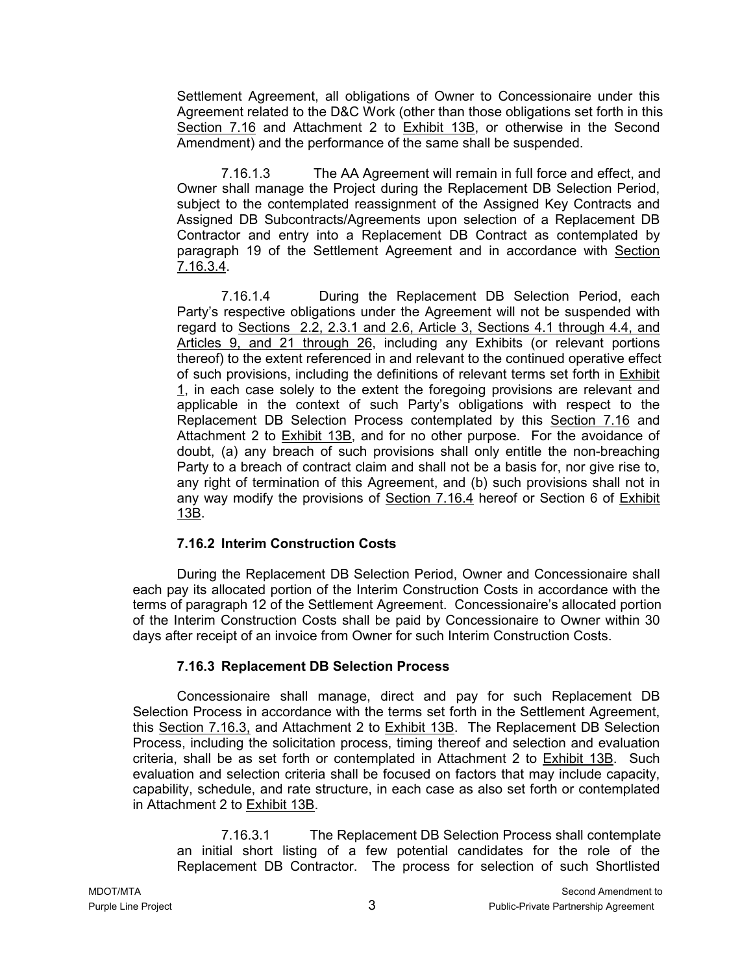Settlement Agreement, all obligations of Owner to Concessionaire under this Agreement related to the D&C Work (other than those obligations set forth in this Section 7.16 and Attachment 2 to Exhibit 13B, or otherwise in the Second Amendment) and the performance of the same shall be suspended.

7.16.1.3 The AA Agreement will remain in full force and effect, and Owner shall manage the Project during the Replacement DB Selection Period, subject to the contemplated reassignment of the Assigned Key Contracts and Assigned DB Subcontracts/Agreements upon selection of a Replacement DB Contractor and entry into a Replacement DB Contract as contemplated by paragraph 19 of the Settlement Agreement and in accordance with Section 7.16.3.4.

7.16.1.4 During the Replacement DB Selection Period, each Party's respective obligations under the Agreement will not be suspended with regard to Sections 2.2, 2.3.1 and 2.6, Article 3, Sections 4.1 through 4.4, and Articles 9, and 21 through 26, including any Exhibits (or relevant portions thereof) to the extent referenced in and relevant to the continued operative effect of such provisions, including the definitions of relevant terms set forth in Exhibit 1, in each case solely to the extent the foregoing provisions are relevant and applicable in the context of such Party's obligations with respect to the Replacement DB Selection Process contemplated by this Section 7.16 and Attachment 2 to Exhibit 13B, and for no other purpose. For the avoidance of doubt, (a) any breach of such provisions shall only entitle the non-breaching Party to a breach of contract claim and shall not be a basis for, nor give rise to, any right of termination of this Agreement, and (b) such provisions shall not in any way modify the provisions of Section 7.16.4 hereof or Section 6 of Exhibit 13B.

## **7.16.2 Interim Construction Costs**

During the Replacement DB Selection Period, Owner and Concessionaire shall each pay its allocated portion of the Interim Construction Costs in accordance with the terms of paragraph 12 of the Settlement Agreement. Concessionaire's allocated portion of the Interim Construction Costs shall be paid by Concessionaire to Owner within 30 days after receipt of an invoice from Owner for such Interim Construction Costs.

## **7.16.3 Replacement DB Selection Process**

Concessionaire shall manage, direct and pay for such Replacement DB Selection Process in accordance with the terms set forth in the Settlement Agreement, this Section 7.16.3, and Attachment 2 to Exhibit 13B. The Replacement DB Selection Process, including the solicitation process, timing thereof and selection and evaluation criteria, shall be as set forth or contemplated in Attachment 2 to Exhibit 13B. Such evaluation and selection criteria shall be focused on factors that may include capacity, capability, schedule, and rate structure, in each case as also set forth or contemplated in Attachment 2 to Exhibit 13B.

7.16.3.1 The Replacement DB Selection Process shall contemplate an initial short listing of a few potential candidates for the role of the Replacement DB Contractor. The process for selection of such Shortlisted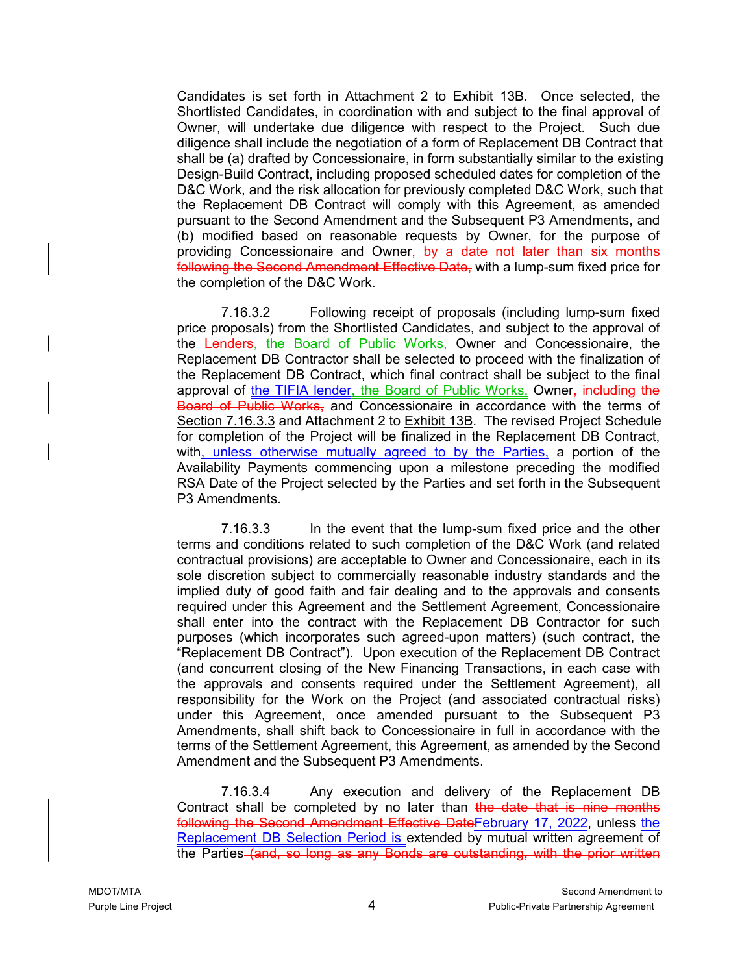Candidates is set forth in Attachment 2 to Exhibit 13B. Once selected, the Shortlisted Candidates, in coordination with and subject to the final approval of Owner, will undertake due diligence with respect to the Project. Such due diligence shall include the negotiation of a form of Replacement DB Contract that shall be (a) drafted by Concessionaire, in form substantially similar to the existing Design-Build Contract, including proposed scheduled dates for completion of the D&C Work, and the risk allocation for previously completed D&C Work, such that the Replacement DB Contract will comply with this Agreement, as amended pursuant to the Second Amendment and the Subsequent P3 Amendments, and (b) modified based on reasonable requests by Owner, for the purpose of providing Concessionaire and Owner<del>, by a date not later than six months</del> following the Second Amendment Effective Date, with a lump-sum fixed price for the completion of the D&C Work.

7.16.3.2 Following receipt of proposals (including lump-sum fixed price proposals) from the Shortlisted Candidates, and subject to the approval of the Lenders, the Board of Public Works, Owner and Concessionaire, the Replacement DB Contractor shall be selected to proceed with the finalization of the Replacement DB Contract, which final contract shall be subject to the final approval of the TIFIA lender, the Board of Public Works, Owner, including the Board of Public Works, and Concessionaire in accordance with the terms of Section 7.16.3.3 and Attachment 2 to **Exhibit 13B.** The revised Project Schedule for completion of the Project will be finalized in the Replacement DB Contract, with, unless otherwise mutually agreed to by the Parties, a portion of the Availability Payments commencing upon a milestone preceding the modified RSA Date of the Project selected by the Parties and set forth in the Subsequent P3 Amendments.

7.16.3.3 In the event that the lump-sum fixed price and the other terms and conditions related to such completion of the D&C Work (and related contractual provisions) are acceptable to Owner and Concessionaire, each in its sole discretion subject to commercially reasonable industry standards and the implied duty of good faith and fair dealing and to the approvals and consents required under this Agreement and the Settlement Agreement, Concessionaire shall enter into the contract with the Replacement DB Contractor for such purposes (which incorporates such agreed-upon matters) (such contract, the "Replacement DB Contract"). Upon execution of the Replacement DB Contract (and concurrent closing of the New Financing Transactions, in each case with the approvals and consents required under the Settlement Agreement), all responsibility for the Work on the Project (and associated contractual risks) under this Agreement, once amended pursuant to the Subsequent P3 Amendments, shall shift back to Concessionaire in full in accordance with the terms of the Settlement Agreement, this Agreement, as amended by the Second Amendment and the Subsequent P3 Amendments.

7.16.3.4 Any execution and delivery of the Replacement DB Contract shall be completed by no later than the date that is nine months following the Second Amendment Effective DateFebruary 17, 2022, unless the Replacement DB Selection Period is extended by mutual written agreement of the Parties (and, so long as any Bonds are outstanding, with the prior written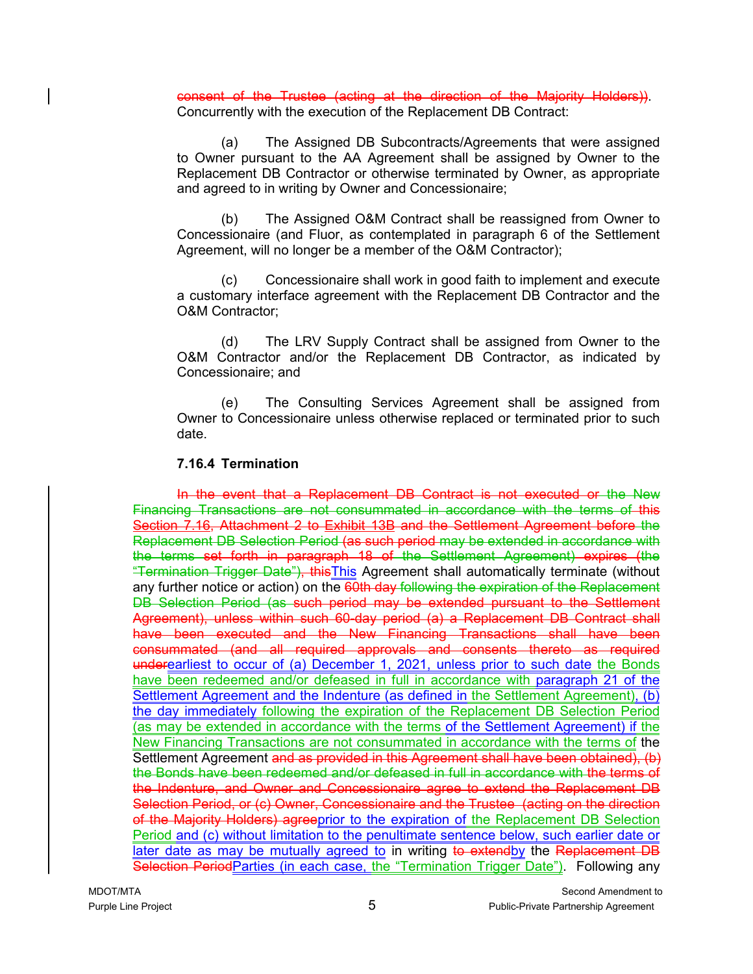consent of the Trustee (acting at the direction of the Majority Holders)). Concurrently with the execution of the Replacement DB Contract:

(a) The Assigned DB Subcontracts/Agreements that were assigned to Owner pursuant to the AA Agreement shall be assigned by Owner to the Replacement DB Contractor or otherwise terminated by Owner, as appropriate and agreed to in writing by Owner and Concessionaire;

(b) The Assigned O&M Contract shall be reassigned from Owner to Concessionaire (and Fluor, as contemplated in paragraph 6 of the Settlement Agreement, will no longer be a member of the O&M Contractor);

(c) Concessionaire shall work in good faith to implement and execute a customary interface agreement with the Replacement DB Contractor and the O&M Contractor;

(d) The LRV Supply Contract shall be assigned from Owner to the O&M Contractor and/or the Replacement DB Contractor, as indicated by Concessionaire; and

(e) The Consulting Services Agreement shall be assigned from Owner to Concessionaire unless otherwise replaced or terminated prior to such date.

#### **7.16.4 Termination**

In the event that a Replacement DB Contract is not executed or the New Financing Transactions are not consummated in accordance with the terms of this Section 7.16, Attachment 2 to Exhibit 13B and the Settlement Agreement before the Replacement DB Selection Period (as such period may be extended in accordance with the terms set forth in paragraph 18 of the Settlement Agreement) expires (the "Termination Trigger Date"), this This Agreement shall automatically terminate (without any further notice or action) on the 60th day following the expiration of the Replacement DB Selection Period (as such period may be extended pursuant to the Settlement Agreement), unless within such 60-day period (a) a Replacement DB Contract shall have been executed and the New Financing Transactions shall have been consummated (and all required approvals and consents thereto as required underearliest to occur of (a) December 1, 2021, unless prior to such date the Bonds have been redeemed and/or defeased in full in accordance with paragraph 21 of the Settlement Agreement and the Indenture (as defined in the Settlement Agreement), (b) the day immediately following the expiration of the Replacement DB Selection Period (as may be extended in accordance with the terms of the Settlement Agreement) if the New Financing Transactions are not consummated in accordance with the terms of the Settlement Agreement and as provided in this Agreement shall have been obtained), (b) the Bonds have been redeemed and/or defeased in full in accordance with the terms of the Indenture, and Owner and Concessionaire agree to extend the Replacement DB Selection Period, or (c) Owner, Concessionaire and the Trustee (acting on the direction of the Majority Holders) agreeprior to the expiration of the Replacement DB Selection Period and (c) without limitation to the penultimate sentence below, such earlier date or later date as may be mutually agreed to in writing to extendby the Replacement DB Selection PeriodParties (in each case, the "Termination Trigger Date"). Following any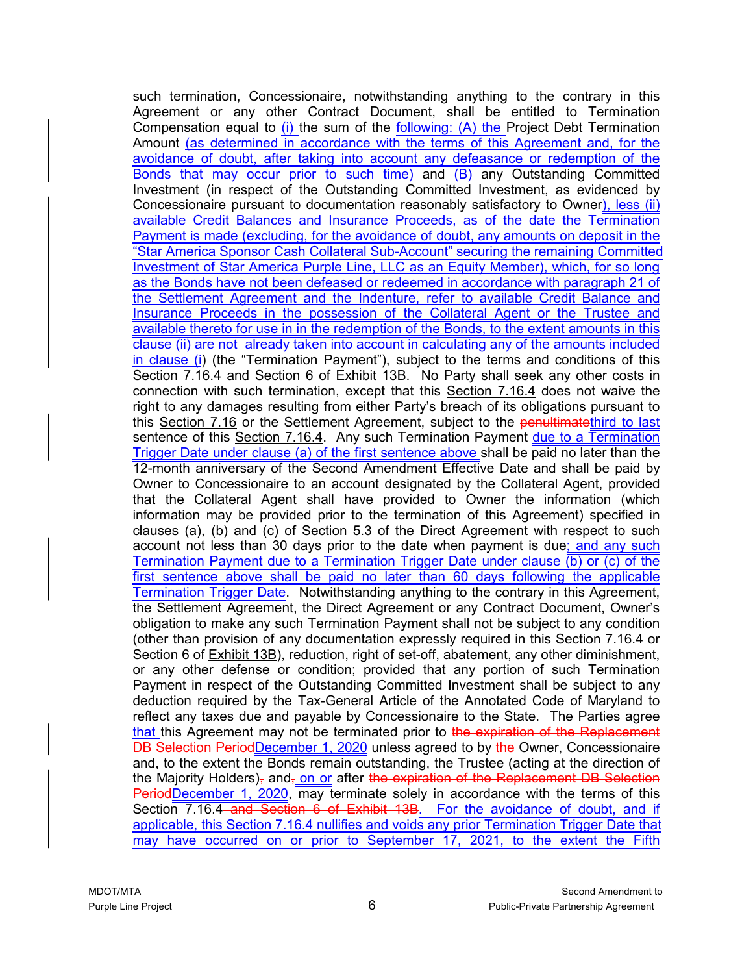such termination, Concessionaire, notwithstanding anything to the contrary in this Agreement or any other Contract Document, shall be entitled to Termination Compensation equal to (i) the sum of the following: (A) the Project Debt Termination Amount (as determined in accordance with the terms of this Agreement and, for the avoidance of doubt, after taking into account any defeasance or redemption of the Bonds that may occur prior to such time) and (B) any Outstanding Committed Investment (in respect of the Outstanding Committed Investment, as evidenced by Concessionaire pursuant to documentation reasonably satisfactory to Owner), less (ii) available Credit Balances and Insurance Proceeds, as of the date the Termination Payment is made (excluding, for the avoidance of doubt, any amounts on deposit in the "Star America Sponsor Cash Collateral Sub-Account" securing the remaining Committed Investment of Star America Purple Line, LLC as an Equity Member), which, for so long as the Bonds have not been defeased or redeemed in accordance with paragraph 21 of the Settlement Agreement and the Indenture, refer to available Credit Balance and Insurance Proceeds in the possession of the Collateral Agent or the Trustee and available thereto for use in in the redemption of the Bonds, to the extent amounts in this clause (ii) are not already taken into account in calculating any of the amounts included in clause (i) (the "Termination Payment"), subject to the terms and conditions of this Section 7.16.4 and Section 6 of Exhibit 13B. No Party shall seek any other costs in connection with such termination, except that this Section 7.16.4 does not waive the right to any damages resulting from either Party's breach of its obligations pursuant to this Section 7.16 or the Settlement Agreement, subject to the penultimatethird to last sentence of this Section 7.16.4. Any such Termination Payment due to a Termination Trigger Date under clause (a) of the first sentence above shall be paid no later than the 12-month anniversary of the Second Amendment Effective Date and shall be paid by Owner to Concessionaire to an account designated by the Collateral Agent, provided that the Collateral Agent shall have provided to Owner the information (which information may be provided prior to the termination of this Agreement) specified in clauses (a), (b) and (c) of Section 5.3 of the Direct Agreement with respect to such account not less than 30 days prior to the date when payment is due; and any such Termination Payment due to a Termination Trigger Date under clause (b) or (c) of the first sentence above shall be paid no later than 60 days following the applicable Termination Trigger Date. Notwithstanding anything to the contrary in this Agreement, the Settlement Agreement, the Direct Agreement or any Contract Document, Owner's obligation to make any such Termination Payment shall not be subject to any condition (other than provision of any documentation expressly required in this Section 7.16.4 or Section 6 of Exhibit 13B), reduction, right of set-off, abatement, any other diminishment, or any other defense or condition; provided that any portion of such Termination Payment in respect of the Outstanding Committed Investment shall be subject to any deduction required by the Tax-General Article of the Annotated Code of Maryland to reflect any taxes due and payable by Concessionaire to the State. The Parties agree that this Agreement may not be terminated prior to the expiration of the Replacement DB Selection PeriodDecember 1, 2020 unless agreed to by the Owner, Concessionaire and, to the extent the Bonds remain outstanding, the Trustee (acting at the direction of the Majority Holders), and, on or after the expiration of the Replacement DB Selection PeriodDecember 1, 2020, may terminate solely in accordance with the terms of this Section 7.16.4-and Section 6 of Exhibit 13B. For the avoidance of doubt, and if applicable, this Section 7.16.4 nullifies and voids any prior Termination Trigger Date that may have occurred on or prior to September 17, 2021, to the extent the Fifth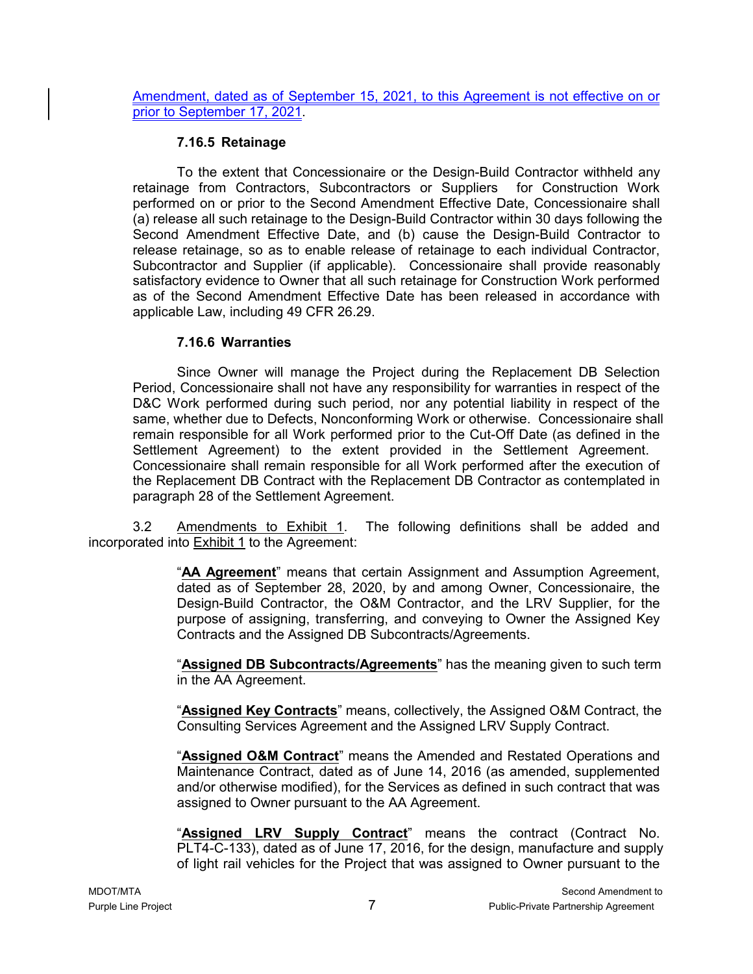Amendment, dated as of September 15, 2021, to this Agreement is not effective on or prior to September 17, 2021.

#### **7.16.5 Retainage**

To the extent that Concessionaire or the Design-Build Contractor withheld any retainage from Contractors, Subcontractors or Suppliers for Construction Work performed on or prior to the Second Amendment Effective Date, Concessionaire shall (a) release all such retainage to the Design-Build Contractor within 30 days following the Second Amendment Effective Date, and (b) cause the Design-Build Contractor to release retainage, so as to enable release of retainage to each individual Contractor, Subcontractor and Supplier (if applicable). Concessionaire shall provide reasonably satisfactory evidence to Owner that all such retainage for Construction Work performed as of the Second Amendment Effective Date has been released in accordance with applicable Law, including 49 CFR 26.29.

#### **7.16.6 Warranties**

Since Owner will manage the Project during the Replacement DB Selection Period, Concessionaire shall not have any responsibility for warranties in respect of the D&C Work performed during such period, nor any potential liability in respect of the same, whether due to Defects, Nonconforming Work or otherwise. Concessionaire shall remain responsible for all Work performed prior to the Cut-Off Date (as defined in the Settlement Agreement) to the extent provided in the Settlement Agreement. Concessionaire shall remain responsible for all Work performed after the execution of the Replacement DB Contract with the Replacement DB Contractor as contemplated in paragraph 28 of the Settlement Agreement.

3.2 Amendments to Exhibit 1. The following definitions shall be added and incorporated into Exhibit 1 to the Agreement:

> "**AA Agreement**" means that certain Assignment and Assumption Agreement, dated as of September 28, 2020, by and among Owner, Concessionaire, the Design-Build Contractor, the O&M Contractor, and the LRV Supplier, for the purpose of assigning, transferring, and conveying to Owner the Assigned Key Contracts and the Assigned DB Subcontracts/Agreements.

> "**Assigned DB Subcontracts/Agreements**" has the meaning given to such term in the AA Agreement.

> "**Assigned Key Contracts**" means, collectively, the Assigned O&M Contract, the Consulting Services Agreement and the Assigned LRV Supply Contract.

> "**Assigned O&M Contract**" means the Amended and Restated Operations and Maintenance Contract, dated as of June 14, 2016 (as amended, supplemented and/or otherwise modified), for the Services as defined in such contract that was assigned to Owner pursuant to the AA Agreement.

> "**Assigned LRV Supply Contract**" means the contract (Contract No. PLT4-C-133), dated as of June 17, 2016, for the design, manufacture and supply of light rail vehicles for the Project that was assigned to Owner pursuant to the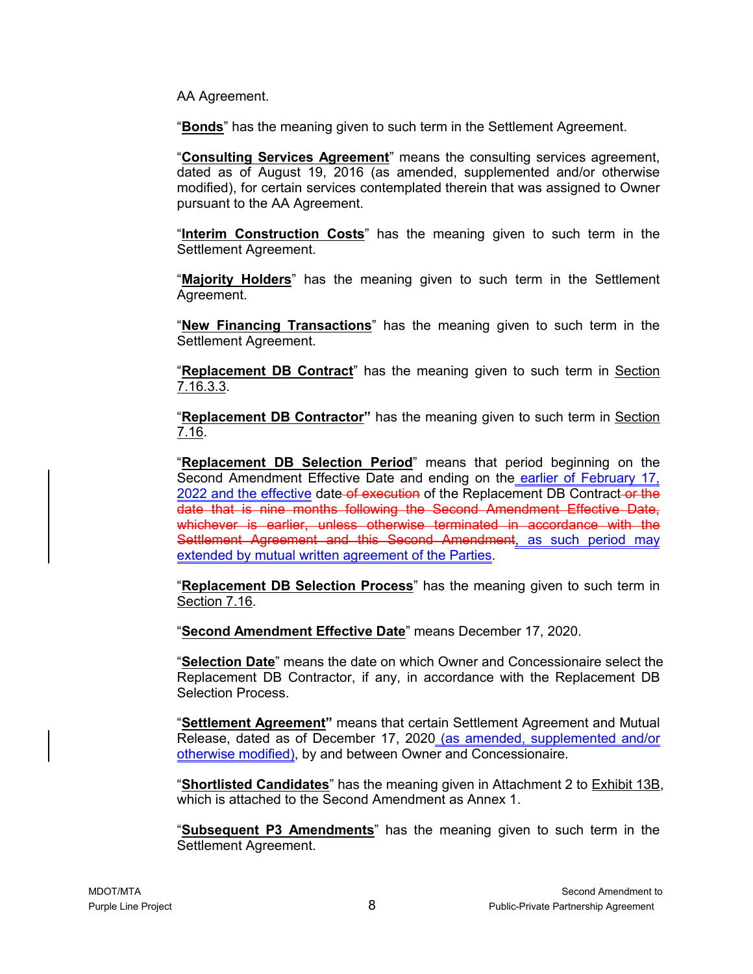AA Agreement.

"**Bonds**" has the meaning given to such term in the Settlement Agreement.

"**Consulting Services Agreement**" means the consulting services agreement, dated as of August 19, 2016 (as amended, supplemented and/or otherwise modified), for certain services contemplated therein that was assigned to Owner pursuant to the AA Agreement.

"**Interim Construction Costs**" has the meaning given to such term in the Settlement Agreement.

"**Majority Holders**" has the meaning given to such term in the Settlement Agreement.

"**New Financing Transactions**" has the meaning given to such term in the Settlement Agreement.

"**Replacement DB Contract**" has the meaning given to such term in Section 7.16.3.3.

"**Replacement DB Contractor"** has the meaning given to such term in Section 7.16.

"**Replacement DB Selection Period**" means that period beginning on the Second Amendment Effective Date and ending on the earlier of February 17, 2022 and the effective date of execution of the Replacement DB Contract-or the date that is nine months following the Second Amendment Effective Date, whichever is earlier, unless otherwise terminated in accordance with the Settlement Agreement and this Second Amendment, as such period may extended by mutual written agreement of the Parties.

"**Replacement DB Selection Process**" has the meaning given to such term in Section 7.16.

"**Second Amendment Effective Date**" means December 17, 2020.

"**Selection Date**" means the date on which Owner and Concessionaire select the Replacement DB Contractor, if any, in accordance with the Replacement DB Selection Process.

"**Settlement Agreement"** means that certain Settlement Agreement and Mutual Release, dated as of December 17, 2020 (as amended, supplemented and/or otherwise modified), by and between Owner and Concessionaire.

"**Shortlisted Candidates**" has the meaning given in Attachment 2 to Exhibit 13B, which is attached to the Second Amendment as Annex 1.

"**Subsequent P3 Amendments**" has the meaning given to such term in the Settlement Agreement.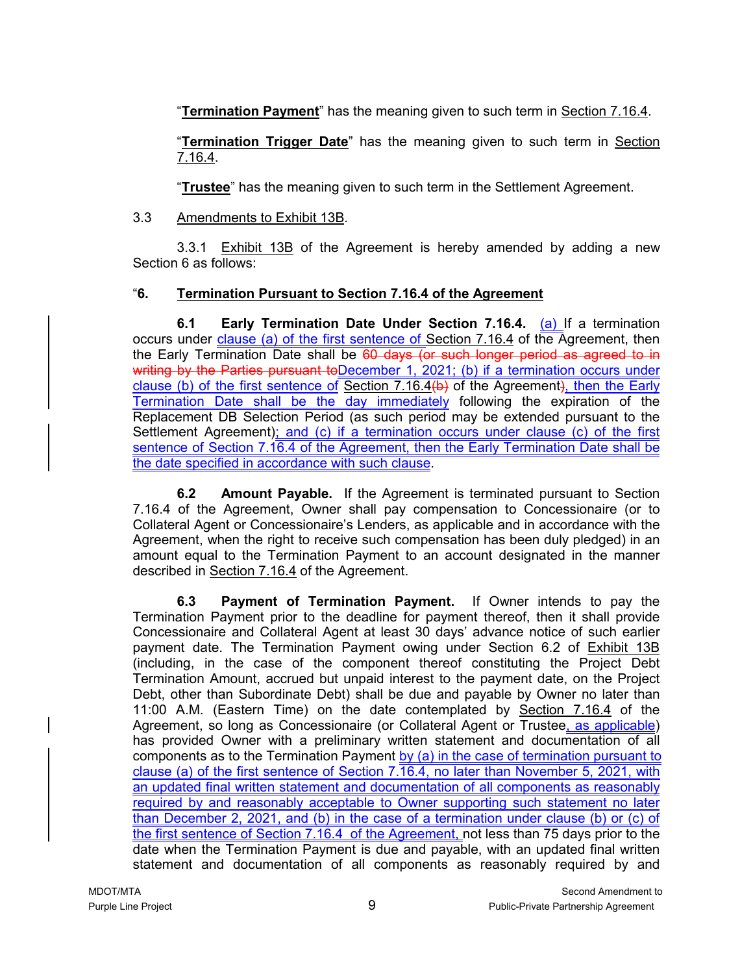"**Termination Payment**" has the meaning given to such term in Section 7.16.4.

"**Termination Trigger Date**" has the meaning given to such term in Section 7.16.4.

"**Trustee**" has the meaning given to such term in the Settlement Agreement.

# 3.3 Amendments to Exhibit 13B.

3.3.1 Exhibit 13B of the Agreement is hereby amended by adding a new Section 6 as follows:

# "**6. Termination Pursuant to Section 7.16.4 of the Agreement**

**6.1 Early Termination Date Under Section 7.16.4.** (a) If a termination occurs under clause (a) of the first sentence of Section 7.16.4 of the Agreement, then the Early Termination Date shall be 60 days (or such longer period as agreed to in writing by the Parties pursuant to December 1, 2021; (b) if a termination occurs under clause (b) of the first sentence of Section 7.16.4(b) of the Agreement), then the Early Termination Date shall be the day immediately following the expiration of the Replacement DB Selection Period (as such period may be extended pursuant to the Settlement Agreement); and (c) if a termination occurs under clause (c) of the first sentence of Section 7.16.4 of the Agreement, then the Early Termination Date shall be the date specified in accordance with such clause.

**6.2 Amount Payable.** If the Agreement is terminated pursuant to Section 7.16.4 of the Agreement, Owner shall pay compensation to Concessionaire (or to Collateral Agent or Concessionaire's Lenders, as applicable and in accordance with the Agreement, when the right to receive such compensation has been duly pledged) in an amount equal to the Termination Payment to an account designated in the manner described in Section 7.16.4 of the Agreement.

**6.3 Payment of Termination Payment.** If Owner intends to pay the Termination Payment prior to the deadline for payment thereof, then it shall provide Concessionaire and Collateral Agent at least 30 days' advance notice of such earlier payment date. The Termination Payment owing under Section 6.2 of Exhibit 13B (including, in the case of the component thereof constituting the Project Debt Termination Amount, accrued but unpaid interest to the payment date, on the Project Debt, other than Subordinate Debt) shall be due and payable by Owner no later than 11:00 A.M. (Eastern Time) on the date contemplated by Section 7.16.4 of the Agreement, so long as Concessionaire (or Collateral Agent or Trustee, as applicable) has provided Owner with a preliminary written statement and documentation of all components as to the Termination Payment by  $(a)$  in the case of termination pursuant to clause (a) of the first sentence of Section 7.16.4, no later than November 5, 2021, with an updated final written statement and documentation of all components as reasonably required by and reasonably acceptable to Owner supporting such statement no later than December 2, 2021, and (b) in the case of a termination under clause (b) or (c) of the first sentence of Section 7.16.4 of the Agreement, not less than 75 days prior to the date when the Termination Payment is due and payable, with an updated final written statement and documentation of all components as reasonably required by and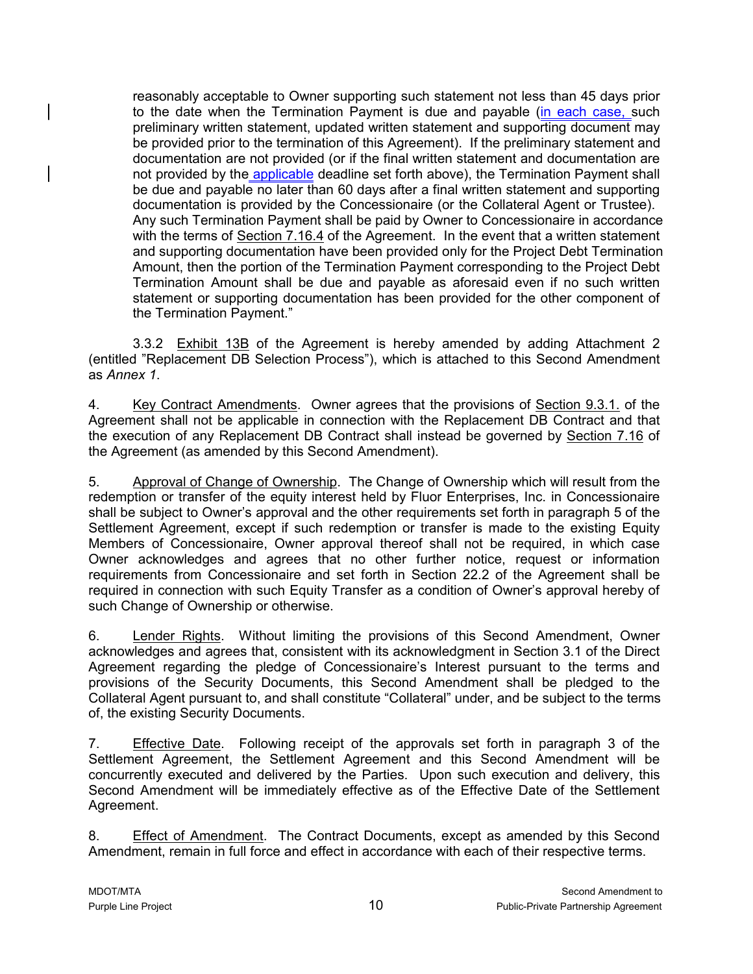reasonably acceptable to Owner supporting such statement not less than 45 days prior to the date when the Termination Payment is due and payable (in each case, such preliminary written statement, updated written statement and supporting document may be provided prior to the termination of this Agreement). If the preliminary statement and documentation are not provided (or if the final written statement and documentation are not provided by the applicable deadline set forth above), the Termination Payment shall be due and payable no later than 60 days after a final written statement and supporting documentation is provided by the Concessionaire (or the Collateral Agent or Trustee). Any such Termination Payment shall be paid by Owner to Concessionaire in accordance with the terms of Section 7.16.4 of the Agreement. In the event that a written statement and supporting documentation have been provided only for the Project Debt Termination Amount, then the portion of the Termination Payment corresponding to the Project Debt Termination Amount shall be due and payable as aforesaid even if no such written statement or supporting documentation has been provided for the other component of the Termination Payment."

3.3.2 Exhibit 13B of the Agreement is hereby amended by adding Attachment 2 (entitled "Replacement DB Selection Process"), which is attached to this Second Amendment as *Annex 1*.

4. Key Contract Amendments. Owner agrees that the provisions of Section 9.3.1. of the Agreement shall not be applicable in connection with the Replacement DB Contract and that the execution of any Replacement DB Contract shall instead be governed by Section 7.16 of the Agreement (as amended by this Second Amendment).

5. Approval of Change of Ownership. The Change of Ownership which will result from the redemption or transfer of the equity interest held by Fluor Enterprises, Inc. in Concessionaire shall be subject to Owner's approval and the other requirements set forth in paragraph 5 of the Settlement Agreement, except if such redemption or transfer is made to the existing Equity Members of Concessionaire, Owner approval thereof shall not be required, in which case Owner acknowledges and agrees that no other further notice, request or information requirements from Concessionaire and set forth in Section 22.2 of the Agreement shall be required in connection with such Equity Transfer as a condition of Owner's approval hereby of such Change of Ownership or otherwise.

6. Lender Rights. Without limiting the provisions of this Second Amendment, Owner acknowledges and agrees that, consistent with its acknowledgment in Section 3.1 of the Direct Agreement regarding the pledge of Concessionaire's Interest pursuant to the terms and provisions of the Security Documents, this Second Amendment shall be pledged to the Collateral Agent pursuant to, and shall constitute "Collateral" under, and be subject to the terms of, the existing Security Documents.

7. Effective Date. Following receipt of the approvals set forth in paragraph 3 of the Settlement Agreement, the Settlement Agreement and this Second Amendment will be concurrently executed and delivered by the Parties. Upon such execution and delivery, this Second Amendment will be immediately effective as of the Effective Date of the Settlement Agreement.

8. Effect of Amendment. The Contract Documents, except as amended by this Second Amendment, remain in full force and effect in accordance with each of their respective terms.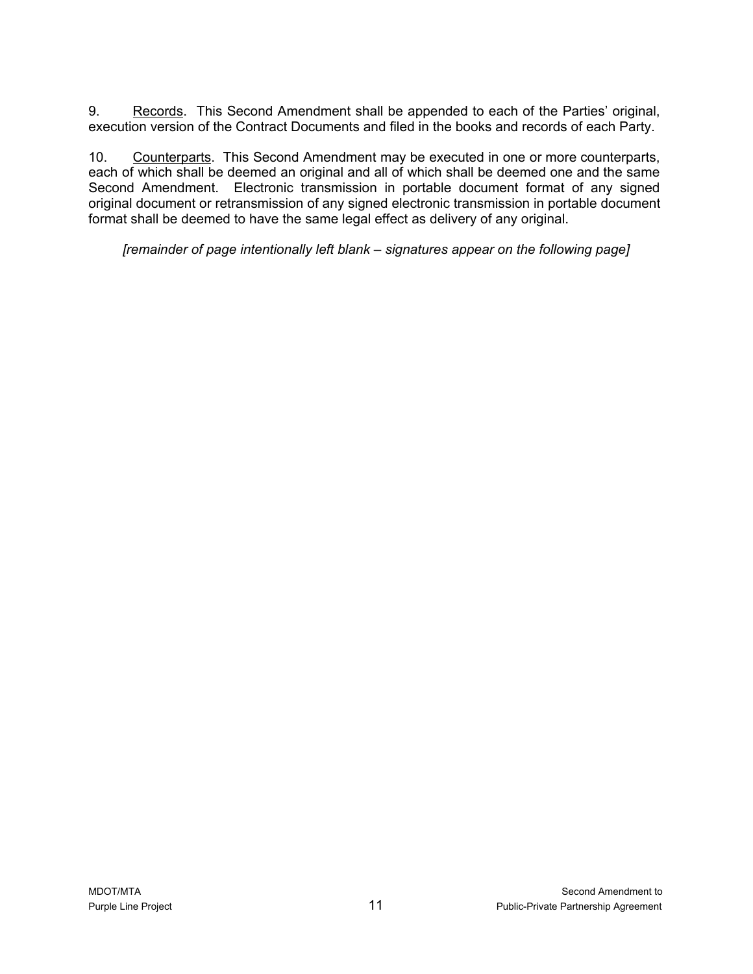9. Records. This Second Amendment shall be appended to each of the Parties' original, execution version of the Contract Documents and filed in the books and records of each Party.

10. Counterparts. This Second Amendment may be executed in one or more counterparts, each of which shall be deemed an original and all of which shall be deemed one and the same Second Amendment. Electronic transmission in portable document format of any signed original document or retransmission of any signed electronic transmission in portable document format shall be deemed to have the same legal effect as delivery of any original.

*[remainder of page intentionally left blank – signatures appear on the following page]*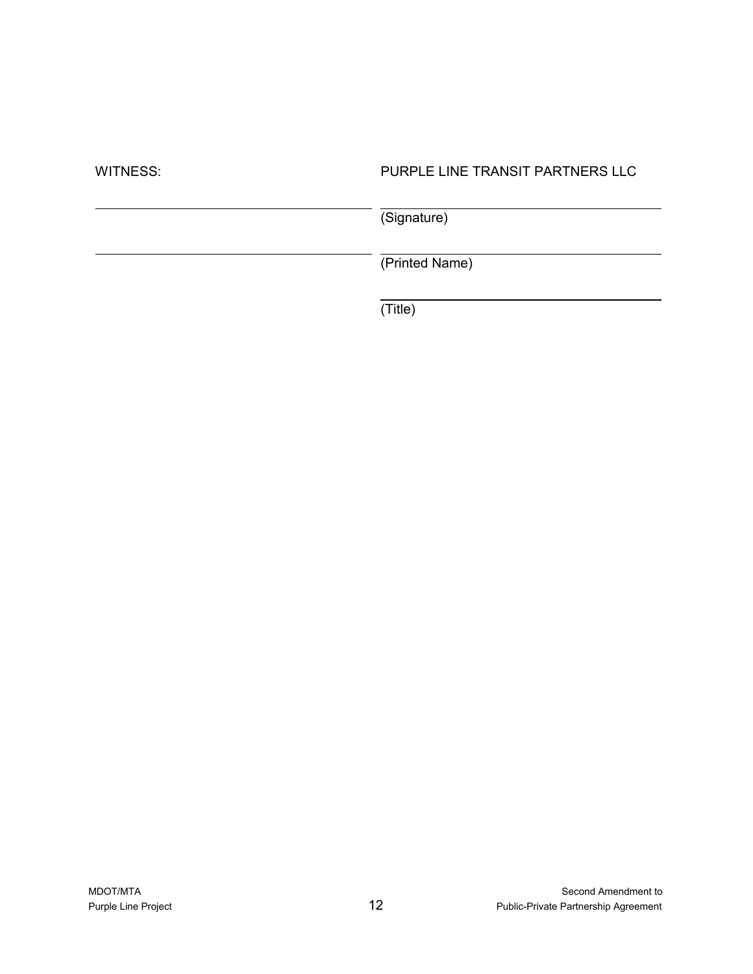| PURPLE LINE TRANSIT PARTNERS LLC |
|----------------------------------|
| (Signature)                      |
| (Printed Name)                   |
|                                  |

(Title)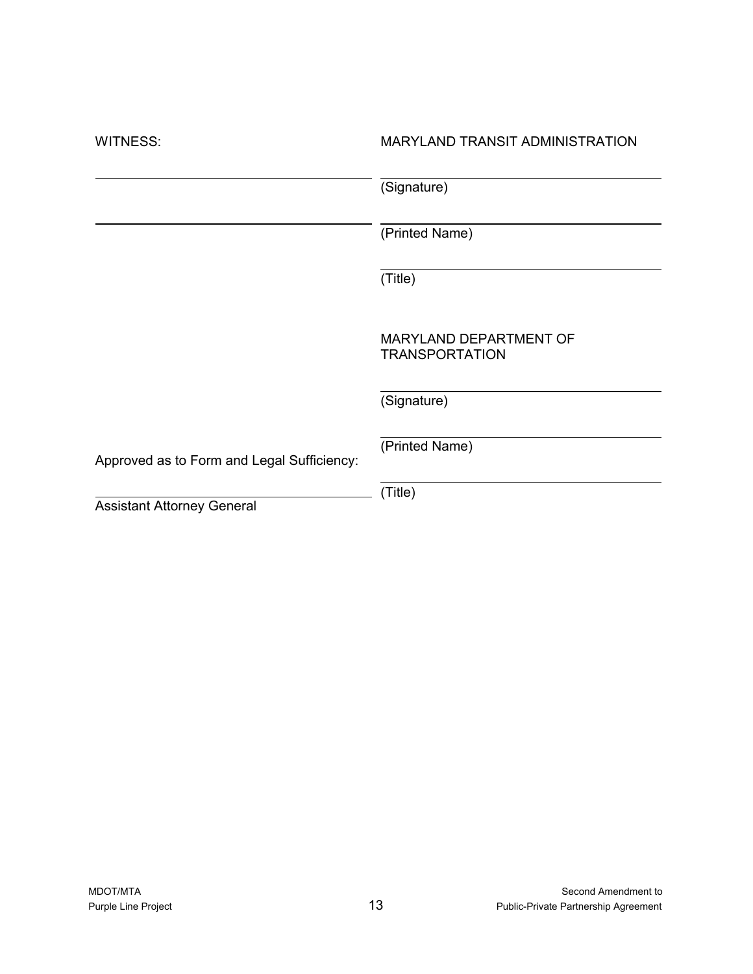| <b>WITNESS:</b>                            | <b>MARYLAND TRANSIT ADMINISTRATION</b>          |
|--------------------------------------------|-------------------------------------------------|
|                                            | (Signature)                                     |
|                                            | (Printed Name)                                  |
|                                            | (Title)                                         |
|                                            | MARYLAND DEPARTMENT OF<br><b>TRANSPORTATION</b> |
|                                            | (Signature)                                     |
| Approved as to Form and Legal Sufficiency: | (Printed Name)                                  |
| <b>Assistant Attorney General</b>          | (Title)                                         |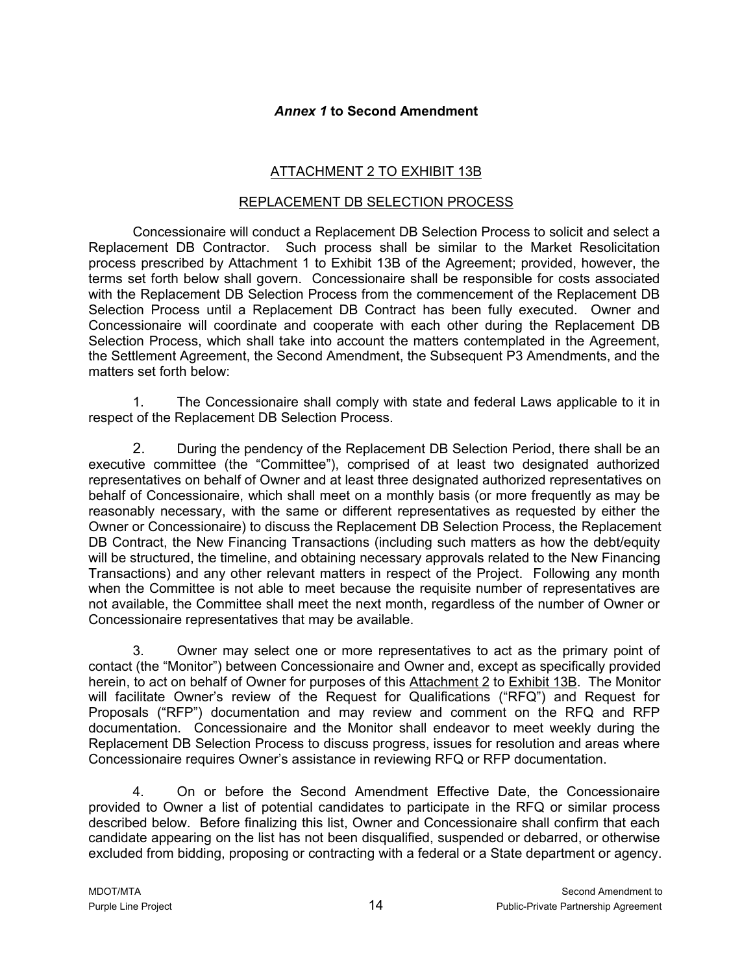#### *Annex 1* **to Second Amendment**

#### ATTACHMENT 2 TO EXHIBIT 13B

#### REPLACEMENT DB SELECTION PROCESS

Concessionaire will conduct a Replacement DB Selection Process to solicit and select a Replacement DB Contractor. Such process shall be similar to the Market Resolicitation process prescribed by Attachment 1 to Exhibit 13B of the Agreement; provided, however, the terms set forth below shall govern. Concessionaire shall be responsible for costs associated with the Replacement DB Selection Process from the commencement of the Replacement DB Selection Process until a Replacement DB Contract has been fully executed. Owner and Concessionaire will coordinate and cooperate with each other during the Replacement DB Selection Process, which shall take into account the matters contemplated in the Agreement, the Settlement Agreement, the Second Amendment, the Subsequent P3 Amendments, and the matters set forth below:

1. The Concessionaire shall comply with state and federal Laws applicable to it in respect of the Replacement DB Selection Process.

2. During the pendency of the Replacement DB Selection Period, there shall be an executive committee (the "Committee"), comprised of at least two designated authorized representatives on behalf of Owner and at least three designated authorized representatives on behalf of Concessionaire, which shall meet on a monthly basis (or more frequently as may be reasonably necessary, with the same or different representatives as requested by either the Owner or Concessionaire) to discuss the Replacement DB Selection Process, the Replacement DB Contract, the New Financing Transactions (including such matters as how the debt/equity will be structured, the timeline, and obtaining necessary approvals related to the New Financing Transactions) and any other relevant matters in respect of the Project. Following any month when the Committee is not able to meet because the requisite number of representatives are not available, the Committee shall meet the next month, regardless of the number of Owner or Concessionaire representatives that may be available.

3. Owner may select one or more representatives to act as the primary point of contact (the "Monitor") between Concessionaire and Owner and, except as specifically provided herein, to act on behalf of Owner for purposes of this Attachment 2 to Exhibit 13B. The Monitor will facilitate Owner's review of the Request for Qualifications ("RFQ") and Request for Proposals ("RFP") documentation and may review and comment on the RFQ and RFP documentation. Concessionaire and the Monitor shall endeavor to meet weekly during the Replacement DB Selection Process to discuss progress, issues for resolution and areas where Concessionaire requires Owner's assistance in reviewing RFQ or RFP documentation.

4. On or before the Second Amendment Effective Date, the Concessionaire provided to Owner a list of potential candidates to participate in the RFQ or similar process described below. Before finalizing this list, Owner and Concessionaire shall confirm that each candidate appearing on the list has not been disqualified, suspended or debarred, or otherwise excluded from bidding, proposing or contracting with a federal or a State department or agency.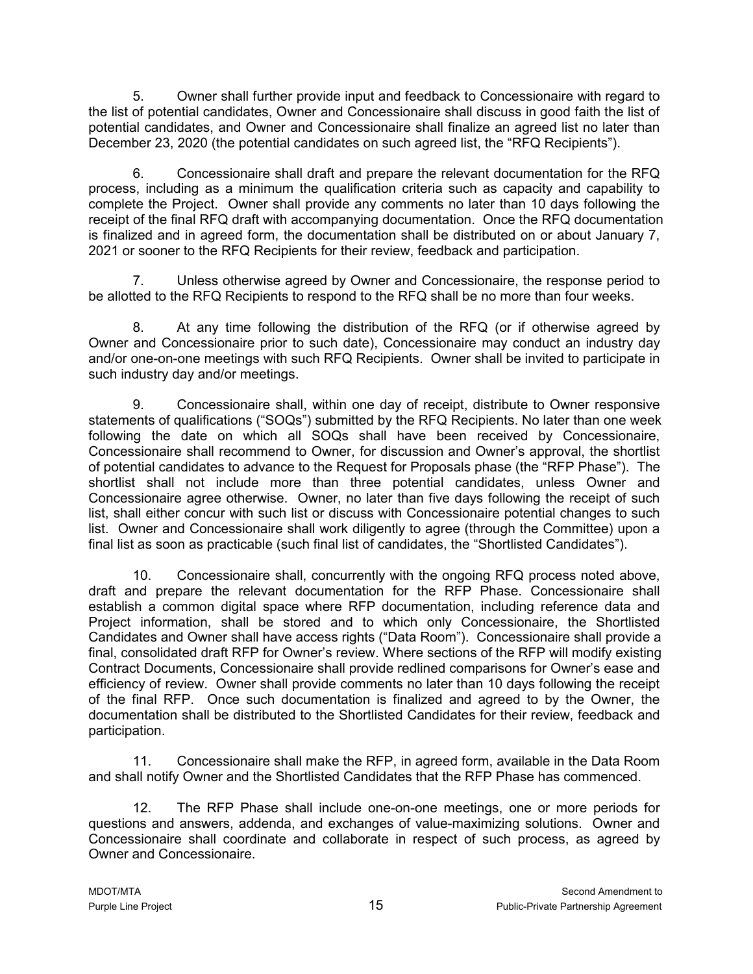5. Owner shall further provide input and feedback to Concessionaire with regard to the list of potential candidates, Owner and Concessionaire shall discuss in good faith the list of potential candidates, and Owner and Concessionaire shall finalize an agreed list no later than December 23, 2020 (the potential candidates on such agreed list, the "RFQ Recipients").

6. Concessionaire shall draft and prepare the relevant documentation for the RFQ process, including as a minimum the qualification criteria such as capacity and capability to complete the Project. Owner shall provide any comments no later than 10 days following the receipt of the final RFQ draft with accompanying documentation. Once the RFQ documentation is finalized and in agreed form, the documentation shall be distributed on or about January 7, 2021 or sooner to the RFQ Recipients for their review, feedback and participation.

7. Unless otherwise agreed by Owner and Concessionaire, the response period to be allotted to the RFQ Recipients to respond to the RFQ shall be no more than four weeks.

8. At any time following the distribution of the RFQ (or if otherwise agreed by Owner and Concessionaire prior to such date), Concessionaire may conduct an industry day and/or one-on-one meetings with such RFQ Recipients. Owner shall be invited to participate in such industry day and/or meetings.

9. Concessionaire shall, within one day of receipt, distribute to Owner responsive statements of qualifications ("SOQs") submitted by the RFQ Recipients. No later than one week following the date on which all SOQs shall have been received by Concessionaire, Concessionaire shall recommend to Owner, for discussion and Owner's approval, the shortlist of potential candidates to advance to the Request for Proposals phase (the "RFP Phase"). The shortlist shall not include more than three potential candidates, unless Owner and Concessionaire agree otherwise. Owner, no later than five days following the receipt of such list, shall either concur with such list or discuss with Concessionaire potential changes to such list. Owner and Concessionaire shall work diligently to agree (through the Committee) upon a final list as soon as practicable (such final list of candidates, the "Shortlisted Candidates").

10. Concessionaire shall, concurrently with the ongoing RFQ process noted above, draft and prepare the relevant documentation for the RFP Phase. Concessionaire shall establish a common digital space where RFP documentation, including reference data and Project information, shall be stored and to which only Concessionaire, the Shortlisted Candidates and Owner shall have access rights ("Data Room"). Concessionaire shall provide a final, consolidated draft RFP for Owner's review. Where sections of the RFP will modify existing Contract Documents, Concessionaire shall provide redlined comparisons for Owner's ease and efficiency of review. Owner shall provide comments no later than 10 days following the receipt of the final RFP. Once such documentation is finalized and agreed to by the Owner, the documentation shall be distributed to the Shortlisted Candidates for their review, feedback and participation.

11. Concessionaire shall make the RFP, in agreed form, available in the Data Room and shall notify Owner and the Shortlisted Candidates that the RFP Phase has commenced.

12. The RFP Phase shall include one-on-one meetings, one or more periods for questions and answers, addenda, and exchanges of value-maximizing solutions. Owner and Concessionaire shall coordinate and collaborate in respect of such process, as agreed by Owner and Concessionaire.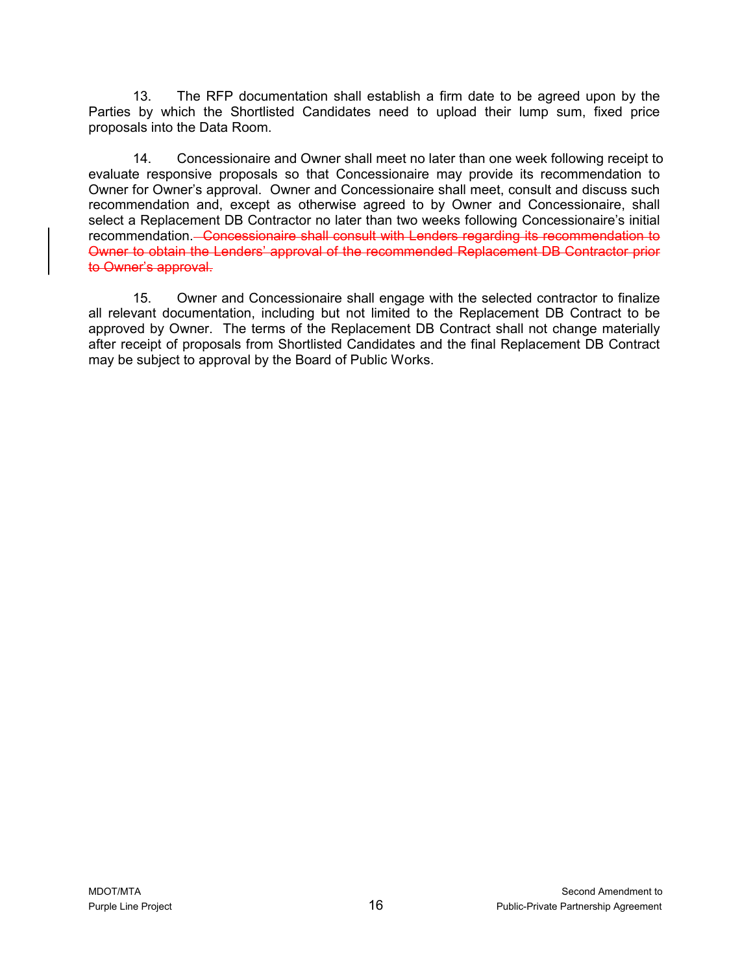13. The RFP documentation shall establish a firm date to be agreed upon by the Parties by which the Shortlisted Candidates need to upload their lump sum, fixed price proposals into the Data Room.

14. Concessionaire and Owner shall meet no later than one week following receipt to evaluate responsive proposals so that Concessionaire may provide its recommendation to Owner for Owner's approval. Owner and Concessionaire shall meet, consult and discuss such recommendation and, except as otherwise agreed to by Owner and Concessionaire, shall select a Replacement DB Contractor no later than two weeks following Concessionaire's initial recommendation. Concessionaire shall consult with Lenders regarding its recommendation to Owner to obtain the Lenders' approval of the recommended Replacement DB Contractor prior to Owner's approval.

15. Owner and Concessionaire shall engage with the selected contractor to finalize all relevant documentation, including but not limited to the Replacement DB Contract to be approved by Owner. The terms of the Replacement DB Contract shall not change materially after receipt of proposals from Shortlisted Candidates and the final Replacement DB Contract may be subject to approval by the Board of Public Works.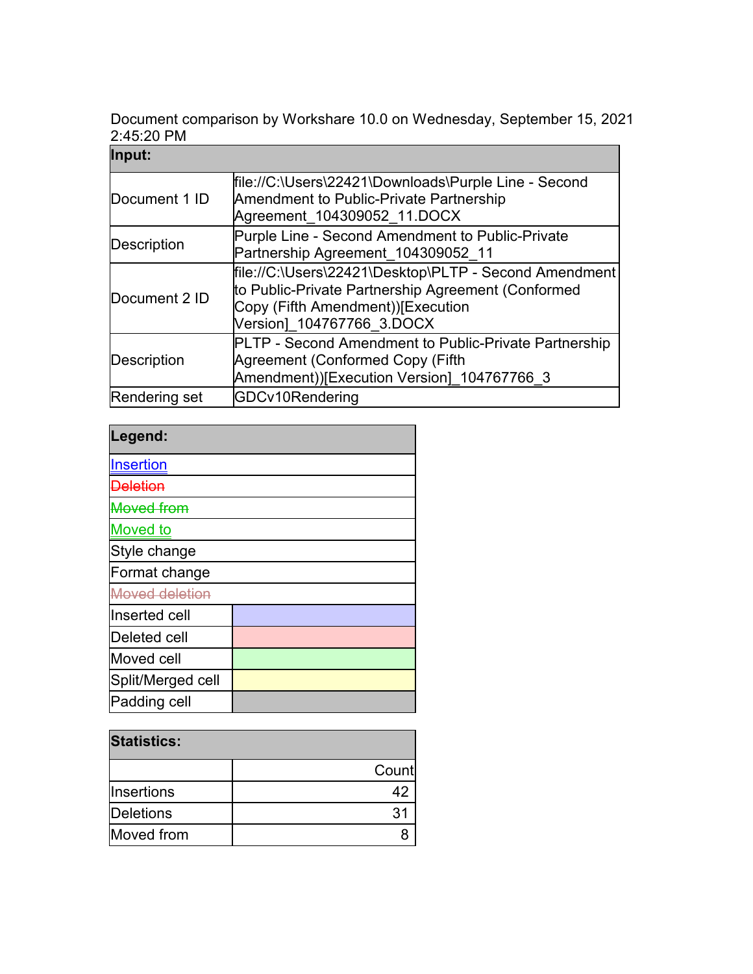Document comparison by Workshare 10.0 on Wednesday, September 15, 2021 2:45:20 PM

| Input:             |                                                                                                                                                                               |
|--------------------|-------------------------------------------------------------------------------------------------------------------------------------------------------------------------------|
| Document 1 ID      | file://C:\Users\22421\Downloads\Purple Line - Second<br><b>Amendment to Public-Private Partnership</b><br>Agreement_104309052_11.DOCX                                         |
| Description        | Purple Line - Second Amendment to Public-Private<br>Partnership Agreement_104309052_11                                                                                        |
| Document 2 ID      | file://C:\Users\22421\Desktop\PLTP - Second Amendment<br>to Public-Private Partnership Agreement (Conformed<br>Copy (Fifth Amendment))[Execution<br>Version] 104767766 3.DOCX |
| <b>Description</b> | PLTP - Second Amendment to Public-Private Partnership<br>Agreement (Conformed Copy (Fifth<br>Amendment))[Execution Version] 104767766 3                                       |
| Rendering set      | GDCv10Rendering                                                                                                                                                               |

| Legend:           |  |
|-------------------|--|
| Insertion         |  |
| <b>Aeletion</b>   |  |
| <b>Moved from</b> |  |
| <b>Moved</b> to   |  |
| Style change      |  |
| Format change     |  |
| Moved deletion    |  |
| Inserted cell     |  |
| Deleted cell      |  |
| Moved cell        |  |
| Split/Merged cell |  |
| Padding cell      |  |

| <b>Statistics:</b> |       |  |
|--------------------|-------|--|
|                    | Count |  |
| <b>Insertions</b>  |       |  |
| Deletions          | 31    |  |
| Moved from         |       |  |